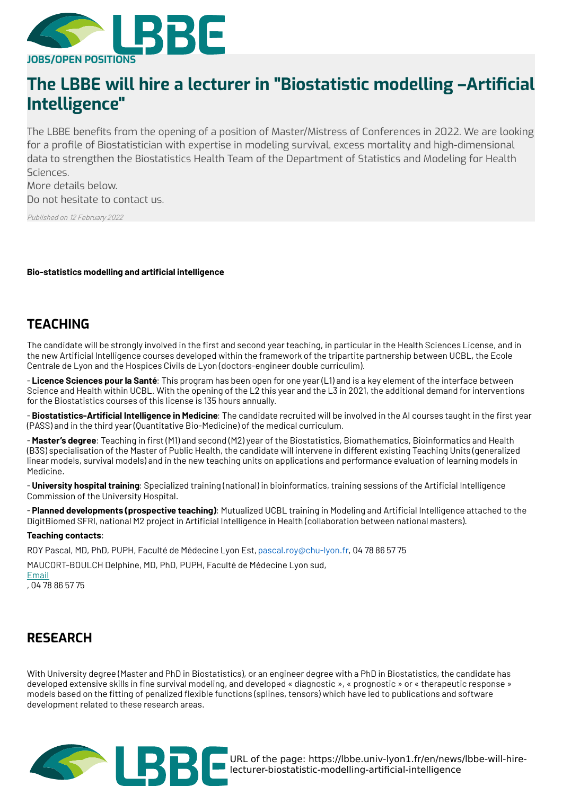

# **The LBBE will hire a lecturer in "Biostatistic modelling –Arti\$cial Intelligence"**

The LBBE benefits from the opening of a position of Master/Mistress of Conferences in 2022. We are looking l for a pro le of Biostatistician with expertise in modeling survival, excess mortality and high-dimensional data to strengthen the Biostatistics Health Team of the Department of Statistics and Modeling for Health Sciences.

More details below. Do not hesitate to contact us.

Published on 12 February 2022

**Bio-statistics modelling and articial intelligence**

## **TEACHING**

The candidate will be strongly involved in the first and second year teaching, in particular in the Health Sciences License, and in the new Artificial Intelligence courses developed within the framework of the tripartite partnership between UCBL, the Ecole Centrale de Lyon and the Hospices Civils de Lyon (doctors-engineer double curriculim).

- **Licence Sciences pour la Santé**: This program has been open for one year (L1) and is a key element of the interface between Science and Health within UCBL. With the opening of the L2 this year and the L3 in 2021, the additional demand for interventions for the Biostatistics courses of this license is 135 hours annually.

- Biostatistics-Artificial Intelligence in Medicine: The candidate recruited will be involved in the AI courses taught in the first year (PASS) and in the third year (Quantitative Bio-Medicine) of the medical curriculum.

- Master's degree: Teaching in first (M1) and second (M2) year of the Biostatistics, Biomathematics, Bioinformatics and Health (B3S) specialisation of the Master of Public Health, the candidate will intervene in different existing Teaching Units (generalized linear models, survival models) and in the new teaching units on applications and performance evaluation of learning models in Medicine.

- **University hospital training**: Specialized training (national) in bioinformatics, training sessions of the Artificial Intelligence Commission of the University Hospital.

- **Planned developments (prospective teaching)**: Mutualized UCBL training in Modeling and Articial Intelligence attached to the DigitBiomed SFRI, national M2 project in Artificial Intelligence in Health (collaboration between national masters).

#### **Teaching contacts**:

ROY Pascal, MD, PhD, PUPH, Faculté de Médecine Lyon Est,pascal.roy@chu-lyon.fr, 04 78 86 57 75

MAUCORT-BOULCH Delphine, MD, PhD, PUPH, Faculté de Médecine Lyon sud, [Email](https://lbbe.univ-lyon1.fr/en/get-mail-to/cXJ5Y3V2YXIvcWJnL3puaHBiZWctb2JoeXB1L25nL3B1aC15bGJhL3FiZy9zZQ%253D%253D)

, 04 78 86 57 75

### **RESEARCH**

With University degree (Master and PhD in Biostatistics), or an engineer degree with a PhD in Biostatistics, the candidate has developed extensive skills in fine survival modeling, and developed « diagnostic », « prognostic » or « therapeutic response » models based on the fitting of penalized flexible functions (splines, tensors) which have led to publications and software development related to these research areas.